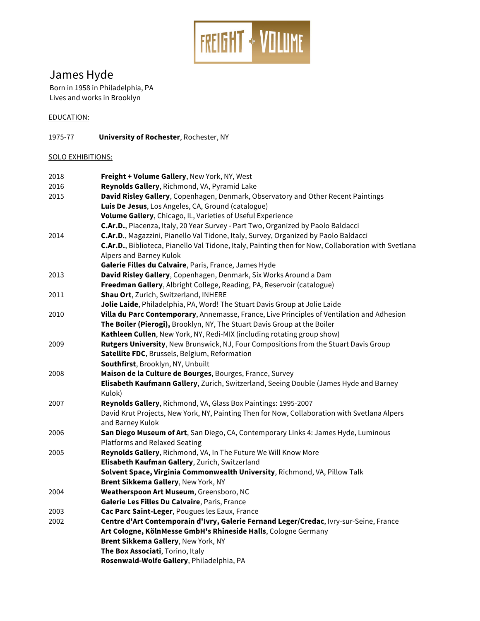

# James Hyde

Born in 1958 in Philadelphia, PA Lives and works in Brooklyn

### EDUCATION:

1975-77 **University of Rochester**, Rochester, NY

## SOLO EXHIBITIONS:

| 2018 | Freight + Volume Gallery, New York, NY, West                                                        |
|------|-----------------------------------------------------------------------------------------------------|
| 2016 | Reynolds Gallery, Richmond, VA, Pyramid Lake                                                        |
| 2015 | David Risley Gallery, Copenhagen, Denmark, Observatory and Other Recent Paintings                   |
|      | Luis De Jesus, Los Angeles, CA, Ground (catalogue)                                                  |
|      | Volume Gallery, Chicago, IL, Varieties of Useful Experience                                         |
|      | C.Ar.D., Piacenza, Italy, 20 Year Survey - Part Two, Organized by Paolo Baldacci                    |
| 2014 | C.Ar.D., Magazzini, Pianello Val Tidone, Italy, Survey, Organized by Paolo Baldacci                 |
|      | C.Ar.D., Biblioteca, Pianello Val Tidone, Italy, Painting then for Now, Collaboration with Svetlana |
|      | Alpers and Barney Kulok                                                                             |
|      | Galerie Filles du Calvaire, Paris, France, James Hyde                                               |
| 2013 | David Risley Gallery, Copenhagen, Denmark, Six Works Around a Dam                                   |
|      | Freedman Gallery, Albright College, Reading, PA, Reservoir (catalogue)                              |
| 2011 | Shau Ort, Zurich, Switzerland, INHERE                                                               |
|      | Jolie Laide, Philadelphia, PA, Word! The Stuart Davis Group at Jolie Laide                          |
| 2010 | Villa du Parc Contemporary, Annemasse, France, Live Principles of Ventilation and Adhesion          |
|      | The Boiler (Pierogi), Brooklyn, NY, The Stuart Davis Group at the Boiler                            |
|      | Kathleen Cullen, New York, NY, Redi-MIX (including rotating group show)                             |
| 2009 | Rutgers University, New Brunswick, NJ, Four Compositions from the Stuart Davis Group                |
|      | Satellite FDC, Brussels, Belgium, Reformation                                                       |
|      | Southfirst, Brooklyn, NY, Unbuilt                                                                   |
| 2008 | Maison de la Culture de Bourges, Bourges, France, Survey                                            |
|      | Elisabeth Kaufmann Gallery, Zurich, Switzerland, Seeing Double (James Hyde and Barney               |
|      | Kulok)                                                                                              |
| 2007 | Reynolds Gallery, Richmond, VA, Glass Box Paintings: 1995-2007                                      |
|      | David Krut Projects, New York, NY, Painting Then for Now, Collaboration with Svetlana Alpers        |
|      | and Barney Kulok                                                                                    |
| 2006 | San Diego Museum of Art, San Diego, CA, Contemporary Links 4: James Hyde, Luminous                  |
|      | <b>Platforms and Relaxed Seating</b>                                                                |
| 2005 | Reynolds Gallery, Richmond, VA, In The Future We Will Know More                                     |
|      | Elisabeth Kaufman Gallery, Zurich, Switzerland                                                      |
|      | Solvent Space, Virginia Commonwealth University, Richmond, VA, Pillow Talk                          |
|      | Brent Sikkema Gallery, New York, NY                                                                 |
| 2004 | Weatherspoon Art Museum, Greensboro, NC                                                             |
|      | Galerie Les Filles Du Calvaire, Paris, France                                                       |
| 2003 | Cac Parc Saint-Leger, Pougues les Eaux, France                                                      |
| 2002 | Centre d'Art Contemporain d'Ivry, Galerie Fernand Leger/Credac, Ivry-sur-Seine, France              |
|      | Art Cologne, KölnMesse GmbH's Rhineside Halls, Cologne Germany                                      |
|      | Brent Sikkema Gallery, New York, NY                                                                 |
|      | The Box Associati, Torino, Italy                                                                    |
|      | Rosenwald-Wolfe Gallery, Philadelphia, PA                                                           |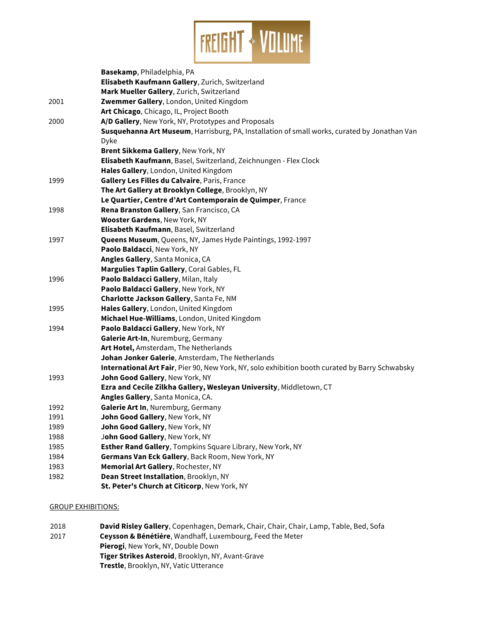

|      | Basekamp, Philadelphia, PA                                                                      |
|------|-------------------------------------------------------------------------------------------------|
|      | Elisabeth Kaufmann Gallery, Zurich, Switzerland                                                 |
|      | Mark Mueller Gallery, Zurich, Switzerland                                                       |
| 2001 | Zwemmer Gallery, London, United Kingdom                                                         |
|      | Art Chicago, Chicago, IL, Project Booth                                                         |
| 2000 | A/D Gallery, New York, NY, Prototypes and Proposals                                             |
|      | Susquehanna Art Museum, Harrisburg, PA, Installation of small works, curated by Jonathan Van    |
|      | Dyke                                                                                            |
|      | Brent Sikkema Gallery, New York, NY                                                             |
|      | Elisabeth Kaufmann, Basel, Switzerland, Zeichnungen - Flex Clock                                |
|      | Hales Gallery, London, United Kingdom                                                           |
| 1999 | Gallery Les Filles du Calvaire, Paris, France                                                   |
|      | The Art Gallery at Brooklyn College, Brooklyn, NY                                               |
|      | Le Quartier, Centre d'Art Contemporain de Quimper, France                                       |
| 1998 | Rena Branston Gallery, San Francisco, CA                                                        |
|      | <b>Wooster Gardens, New York, NY</b>                                                            |
|      | Elisabeth Kaufmann, Basel, Switzerland                                                          |
| 1997 | Queens Museum, Queens, NY, James Hyde Paintings, 1992-1997                                      |
|      | Paolo Baldacci, New York, NY                                                                    |
|      | Angles Gallery, Santa Monica, CA                                                                |
|      | Margulies Taplin Gallery, Coral Gables, FL                                                      |
| 1996 | Paolo Baldacci Gallery, Milan, Italy                                                            |
|      | Paolo Baldacci Gallery, New York, NY                                                            |
|      | Charlotte Jackson Gallery, Santa Fe, NM                                                         |
| 1995 | Hales Gallery, London, United Kingdom                                                           |
|      | Michael Hue-Williams, London, United Kingdom                                                    |
| 1994 | Paolo Baldacci Gallery, New York, NY                                                            |
|      | Galerie Art-In, Nuremburg, Germany                                                              |
|      | Art Hotel, Amsterdam, The Netherlands                                                           |
|      | Johan Jonker Galerie, Amsterdam, The Netherlands                                                |
|      | International Art Fair, Pier 90, New York, NY, solo exhibition booth curated by Barry Schwabsky |
| 1993 | John Good Gallery, New York, NY                                                                 |
|      | Ezra and Cecile Zilkha Gallery, Wesleyan University, Middletown, CT                             |
|      | Angles Gallery, Santa Monica, CA.                                                               |
| 1992 | Galerie Art In, Nuremburg, Germany                                                              |
| 1991 | John Good Gallery, New York, NY                                                                 |
| 1989 | John Good Gallery, New York, NY                                                                 |
| 1988 | John Good Gallery, New York, NY                                                                 |
| 1985 | Esther Rand Gallery, Tompkins Square Library, New York, NY                                      |
| 1984 | Germans Van Eck Gallery, Back Room, New York, NY                                                |
| 1983 | Memorial Art Gallery, Rochester, NY                                                             |
| 1982 | Dean Street Installation, Brooklyn, NY                                                          |
|      | St. Peter's Church at Citicorp, New York, NY                                                    |

#### GROUP EXHIBITIONS:

2018 **David Risley Gallery**, Copenhagen, Demark, Chair, Chair, Chair, Lamp, Table, Bed, Sofa 2017 **Ceysson & Bénétiére**, Wandhaff, Luxembourg, Feed the Meter **Pierogi**, New York, NY, Double Down **Tiger Strikes Asteroid**, Brooklyn, NY, Avant-Grave **Trestle**, Brooklyn, NY, Vatic Utterance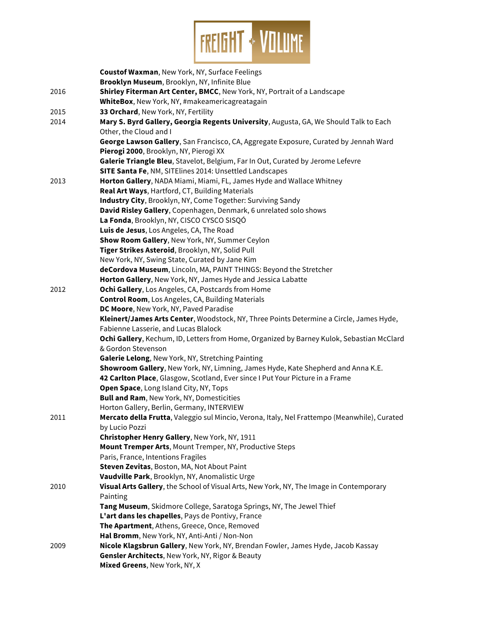

|      | <b>Coustof Waxman, New York, NY, Surface Feelings</b>                                        |
|------|----------------------------------------------------------------------------------------------|
|      | Brooklyn Museum, Brooklyn, NY, Infinite Blue                                                 |
| 2016 | Shirley Fiterman Art Center, BMCC, New York, NY, Portrait of a Landscape                     |
|      | WhiteBox, New York, NY, #makeamericagreatagain                                               |
| 2015 | 33 Orchard, New York, NY, Fertility                                                          |
| 2014 | Mary S. Byrd Gallery, Georgia Regents University, Augusta, GA, We Should Talk to Each        |
|      | Other, the Cloud and I                                                                       |
|      | George Lawson Gallery, San Francisco, CA, Aggregate Exposure, Curated by Jennah Ward         |
|      | Pierogi 2000, Brooklyn, NY, Pierogi XX                                                       |
|      | Galerie Triangle Bleu, Stavelot, Belgium, Far In Out, Curated by Jerome Lefevre              |
|      | SITE Santa Fe, NM, SITElines 2014: Unsettled Landscapes                                      |
| 2013 | Horton Gallery, NADA Miami, Miami, FL, James Hyde and Wallace Whitney                        |
|      | Real Art Ways, Hartford, CT, Building Materials                                              |
|      | Industry City, Brooklyn, NY, Come Together: Surviving Sandy                                  |
|      | David Risley Gallery, Copenhagen, Denmark, 6 unrelated solo shows                            |
|      | La Fonda, Brooklyn, NY, CISCO CYSCO SISQÓ                                                    |
|      | Luis de Jesus, Los Angeles, CA, The Road                                                     |
|      | Show Room Gallery, New York, NY, Summer Ceylon                                               |
|      | Tiger Strikes Asteroid, Brooklyn, NY, Solid Pull                                             |
|      | New York, NY, Swing State, Curated by Jane Kim                                               |
|      | deCordova Museum, Lincoln, MA, PAINT THINGS: Beyond the Stretcher                            |
|      | Horton Gallery, New York, NY, James Hyde and Jessica Labatte                                 |
| 2012 | Ochi Gallery, Los Angeles, CA, Postcards from Home                                           |
|      | <b>Control Room</b> , Los Angeles, CA, Building Materials                                    |
|      | DC Moore, New York, NY, Paved Paradise                                                       |
|      | Kleinert/James Arts Center, Woodstock, NY, Three Points Determine a Circle, James Hyde,      |
|      | Fabienne Lasserie, and Lucas Blalock                                                         |
|      | Ochi Gallery, Kechum, ID, Letters from Home, Organized by Barney Kulok, Sebastian McClard    |
|      | & Gordon Stevenson                                                                           |
|      | Galerie Lelong, New York, NY, Stretching Painting                                            |
|      | Showroom Gallery, New York, NY, Limning, James Hyde, Kate Shepherd and Anna K.E.             |
|      | 42 Carlton Place, Glasgow, Scotland, Ever since I Put Your Picture in a Frame                |
|      | Open Space, Long Island City, NY, Tops                                                       |
|      | Bull and Ram, New York, NY, Domesticities                                                    |
|      | Horton Gallery, Berlin, Germany, INTERVIEW                                                   |
| 2011 | Mercato della Frutta, Valeggio sul Mincio, Verona, Italy, Nel Frattempo (Meanwhile), Curated |
|      | by Lucio Pozzi                                                                               |
|      | Christopher Henry Gallery, New York, NY, 1911                                                |
|      | Mount Tremper Arts, Mount Tremper, NY, Productive Steps                                      |
|      | Paris, France, Intentions Fragiles                                                           |
|      | Steven Zevitas, Boston, MA, Not About Paint                                                  |
|      | Vaudville Park, Brooklyn, NY, Anomalistic Urge                                               |
| 2010 | Visual Arts Gallery, the School of Visual Arts, New York, NY, The Image in Contemporary      |
|      | Painting                                                                                     |
|      | Tang Museum, Skidmore College, Saratoga Springs, NY, The Jewel Thief                         |
|      | L'art dans les chapelles, Pays de Pontivy, France                                            |
|      | The Apartment, Athens, Greece, Once, Removed                                                 |
|      | Hal Bromm, New York, NY, Anti-Anti / Non-Non                                                 |
| 2009 | Nicole Klagsbrun Gallery, New York, NY, Brendan Fowler, James Hyde, Jacob Kassay             |
|      | Gensler Architects, New York, NY, Rigor & Beauty                                             |
|      | Mixed Greens, New York, NY, X                                                                |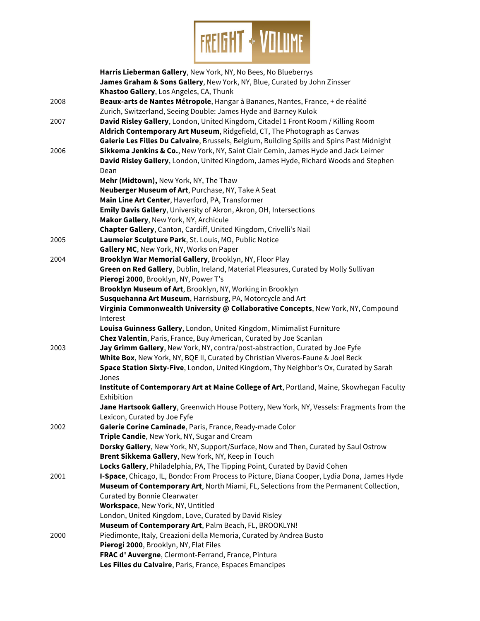

|      | Harris Lieberman Gallery, New York, NY, No Bees, No Blueberrys                                                         |
|------|------------------------------------------------------------------------------------------------------------------------|
|      | James Graham & Sons Gallery, New York, NY, Blue, Curated by John Zinsser                                               |
|      | Khastoo Gallery, Los Angeles, CA, Thunk                                                                                |
| 2008 | Beaux-arts de Nantes Métropole, Hangar à Bananes, Nantes, France, + de réalité                                         |
|      | Zurich, Switzerland, Seeing Double: James Hyde and Barney Kulok                                                        |
| 2007 | David Risley Gallery, London, United Kingdom, Citadel 1 Front Room / Killing Room                                      |
|      | Aldrich Contemporary Art Museum, Ridgefield, CT, The Photograph as Canvas                                              |
|      | Galerie Les Filles Du Calvaire, Brussels, Belgium, Building Spills and Spins Past Midnight                             |
| 2006 | Sikkema Jenkins & Co., New York, NY, Saint Clair Cemin, James Hyde and Jack Leirner                                    |
|      | David Risley Gallery, London, United Kingdom, James Hyde, Richard Woods and Stephen                                    |
|      | Dean                                                                                                                   |
|      | Mehr (Midtown), New York, NY, The Thaw                                                                                 |
|      | Neuberger Museum of Art, Purchase, NY, Take A Seat                                                                     |
|      | Main Line Art Center, Haverford, PA, Transformer<br>Emily Davis Gallery, University of Akron, Akron, OH, Intersections |
|      | Makor Gallery, New York, NY, Archicule                                                                                 |
|      | Chapter Gallery, Canton, Cardiff, United Kingdom, Crivelli's Nail                                                      |
| 2005 | Laumeier Sculpture Park, St. Louis, MO, Public Notice                                                                  |
|      | Gallery MC, New York, NY, Works on Paper                                                                               |
| 2004 | Brooklyn War Memorial Gallery, Brooklyn, NY, Floor Play                                                                |
|      | Green on Red Gallery, Dublin, Ireland, Material Pleasures, Curated by Molly Sullivan                                   |
|      | Pierogi 2000, Brooklyn, NY, Power T's                                                                                  |
|      | Brooklyn Museum of Art, Brooklyn, NY, Working in Brooklyn                                                              |
|      | Susquehanna Art Museum, Harrisburg, PA, Motorcycle and Art                                                             |
|      | Virginia Commonwealth University @ Collaborative Concepts, New York, NY, Compound                                      |
|      | Interest                                                                                                               |
|      | Louisa Guinness Gallery, London, United Kingdom, Mimimalist Furniture                                                  |
|      | Chez Valentin, Paris, France, Buy American, Curated by Joe Scanlan                                                     |
| 2003 | Jay Grimm Gallery, New York, NY, contra/post-abstraction, Curated by Joe Fyfe                                          |
|      | White Box, New York, NY, BQE II, Curated by Christian Viveros-Faune & Joel Beck                                        |
|      | Space Station Sixty-Five, London, United Kingdom, Thy Neighbor's Ox, Curated by Sarah                                  |
|      | Jones                                                                                                                  |
|      | Institute of Contemporary Art at Maine College of Art, Portland, Maine, Skowhegan Faculty                              |
|      | Exhibition                                                                                                             |
|      | Jane Hartsook Gallery, Greenwich House Pottery, New York, NY, Vessels: Fragments from the                              |
|      | Lexicon, Curated by Joe Fyfe                                                                                           |
| 2002 | Galerie Corine Caminade, Paris, France, Ready-made Color                                                               |
|      | Triple Candie, New York, NY, Sugar and Cream                                                                           |
|      | Dorsky Gallery, New York, NY, Support/Surface, Now and Then, Curated by Saul Ostrow                                    |
|      | Brent Sikkema Gallery, New York, NY, Keep in Touch                                                                     |
|      | Locks Gallery, Philadelphia, PA, The Tipping Point, Curated by David Cohen                                             |
| 2001 | I-Space, Chicago, IL, Bondo: From Process to Picture, Diana Cooper, Lydia Dona, James Hyde                             |
|      | Museum of Contemporary Art, North Miami, FL, Selections from the Permanent Collection,                                 |
|      | Curated by Bonnie Clearwater                                                                                           |
|      | Workspace, New York, NY, Untitled                                                                                      |
|      | London, United Kingdom, Love, Curated by David Risley                                                                  |
|      | Museum of Contemporary Art, Palm Beach, FL, BROOKLYN!                                                                  |
| 2000 | Piedimonte, Italy, Creazioni della Memoria, Curated by Andrea Busto                                                    |
|      | Pierogi 2000, Brooklyn, NY, Flat Files                                                                                 |
|      | FRAC d'Auvergne, Clermont-Ferrand, France, Pintura                                                                     |
|      | Les Filles du Calvaire, Paris, France, Espaces Emancipes                                                               |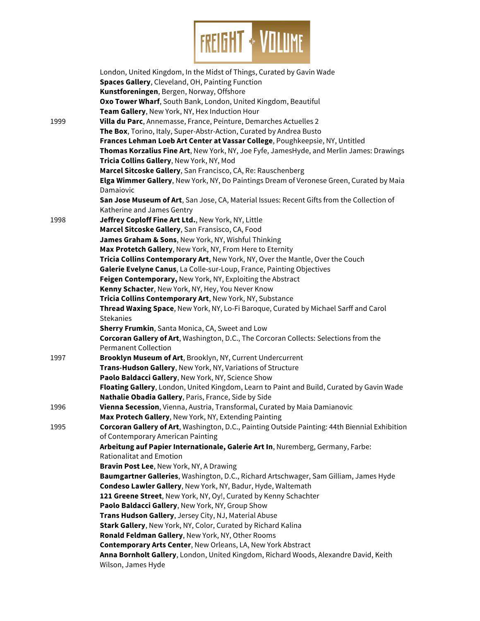

|      | London, United Kingdom, In the Midst of Things, Curated by Gavin Wade                          |
|------|------------------------------------------------------------------------------------------------|
|      | Spaces Gallery, Cleveland, OH, Painting Function                                               |
|      | Kunstforeningen, Bergen, Norway, Offshore                                                      |
|      | Oxo Tower Wharf, South Bank, London, United Kingdom, Beautiful                                 |
|      | Team Gallery, New York, NY, Hex Induction Hour                                                 |
| 1999 | Villa du Parc, Annemasse, France, Peinture, Demarches Actuelles 2                              |
|      | The Box, Torino, Italy, Super-Abstr-Action, Curated by Andrea Busto                            |
|      | Frances Lehman Loeb Art Center at Vassar College, Poughkeepsie, NY, Untitled                   |
|      | Thomas Korzalius Fine Art, New York, NY, Joe Fyfe, JamesHyde, and Merlin James: Drawings       |
|      | Tricia Collins Gallery, New York, NY, Mod                                                      |
|      | Marcel Sitcoske Gallery, San Francisco, CA, Re: Rauschenberg                                   |
|      | Elga Wimmer Gallery, New York, NY, Do Paintings Dream of Veronese Green, Curated by Maia       |
|      | Damaiovic                                                                                      |
|      | San Jose Museum of Art, San Jose, CA, Material Issues: Recent Gifts from the Collection of     |
|      | Katherine and James Gentry                                                                     |
| 1998 | Jeffrey Coploff Fine Art Ltd., New York, NY, Little                                            |
|      | Marcel Sitcoske Gallery, San Fransisco, CA, Food                                               |
|      | James Graham & Sons, New York, NY, Wishful Thinking                                            |
|      | Max Protetch Gallery, New York, NY, From Here to Eternity                                      |
|      | Tricia Collins Contemporary Art, New York, NY, Over the Mantle, Over the Couch                 |
|      | Galerie Evelyne Canus, La Colle-sur-Loup, France, Painting Objectives                          |
|      | Feigen Contemporary, New York, NY, Exploiting the Abstract                                     |
|      | Kenny Schacter, New York, NY, Hey, You Never Know                                              |
|      | Tricia Collins Contemporary Art, New York, NY, Substance                                       |
|      | Thread Waxing Space, New York, NY, Lo-Fi Baroque, Curated by Michael Sarff and Carol           |
|      | <b>Stekanies</b>                                                                               |
|      | Sherry Frumkin, Santa Monica, CA, Sweet and Low                                                |
|      | Corcoran Gallery of Art, Washington, D.C., The Corcoran Collects: Selections from the          |
|      | <b>Permanent Collection</b>                                                                    |
| 1997 | Brooklyn Museum of Art, Brooklyn, NY, Current Undercurrent                                     |
|      | Trans-Hudson Gallery, New York, NY, Variations of Structure                                    |
|      | Paolo Baldacci Gallery, New York, NY, Science Show                                             |
|      | Floating Gallery, London, United Kingdom, Learn to Paint and Build, Curated by Gavin Wade      |
|      | Nathalie Obadia Gallery, Paris, France, Side by Side                                           |
| 1996 | Vienna Secession, Vienna, Austria, Transformal, Curated by Maia Damianovic                     |
|      | Max Protech Gallery, New York, NY, Extending Painting                                          |
| 1995 | Corcoran Gallery of Art, Washington, D.C., Painting Outside Painting: 44th Biennial Exhibition |
|      | of Contemporary American Painting                                                              |
|      | Arbeitung auf Papier Internationale, Galerie Art In, Nuremberg, Germany, Farbe:                |
|      | Rationalitat and Emotion                                                                       |
|      | Bravin Post Lee, New York, NY, A Drawing                                                       |
|      | Baumgartner Galleries, Washington, D.C., Richard Artschwager, Sam Gilliam, James Hyde          |
|      | Condeso Lawler Gallery, New York, NY, Badur, Hyde, Waltemath                                   |
|      | 121 Greene Street, New York, NY, Oy!, Curated by Kenny Schachter                               |
|      | Paolo Baldacci Gallery, New York, NY, Group Show                                               |
|      | Trans Hudson Gallery, Jersey City, NJ, Material Abuse                                          |
|      | Stark Gallery, New York, NY, Color, Curated by Richard Kalina                                  |
|      | Ronald Feldman Gallery, New York, NY, Other Rooms                                              |
|      | Contemporary Arts Center, New Orleans, LA, New York Abstract                                   |
|      | Anna Bornholt Gallery, London, United Kingdom, Richard Woods, Alexandre David, Keith           |
|      | Wilson, James Hyde                                                                             |
|      |                                                                                                |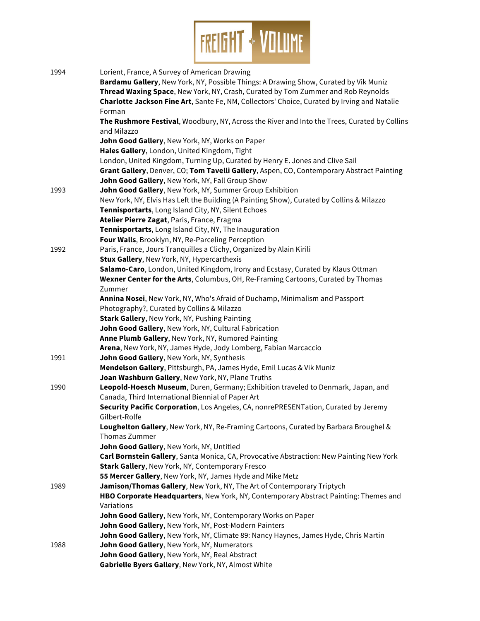

| 1994 | Lorient, France, A Survey of American Drawing                                                |
|------|----------------------------------------------------------------------------------------------|
|      | Bardamu Gallery, New York, NY, Possible Things: A Drawing Show, Curated by Vik Muniz         |
|      | Thread Waxing Space, New York, NY, Crash, Curated by Tom Zummer and Rob Reynolds             |
|      | Charlotte Jackson Fine Art, Sante Fe, NM, Collectors' Choice, Curated by Irving and Natalie  |
|      | Forman                                                                                       |
|      | The Rushmore Festival, Woodbury, NY, Across the River and Into the Trees, Curated by Collins |
|      | and Milazzo                                                                                  |
|      | John Good Gallery, New York, NY, Works on Paper                                              |
|      | Hales Gallery, London, United Kingdom, Tight                                                 |
|      | London, United Kingdom, Turning Up, Curated by Henry E. Jones and Clive Sail                 |
|      | Grant Gallery, Denver, CO; Tom Tavelli Gallery, Aspen, CO, Contemporary Abstract Painting    |
|      | John Good Gallery, New York, NY, Fall Group Show                                             |
| 1993 | John Good Gallery, New York, NY, Summer Group Exhibition                                     |
|      | New York, NY, Elvis Has Left the Building (A Painting Show), Curated by Collins & Milazzo    |
|      | Tennisportarts, Long Island City, NY, Silent Echoes                                          |
|      | Atelier Pierre Zagat, Paris, France, Fragma                                                  |
|      | Tennisportarts, Long Island City, NY, The Inauguration                                       |
|      | Four Walls, Brooklyn, NY, Re-Parceling Perception                                            |
| 1992 | Paris, France, Jours Tranquilles a Clichy, Organized by Alain Kirili                         |
|      | Stux Gallery, New York, NY, Hypercarthexis                                                   |
|      | Salamo-Caro, London, United Kingdom, Irony and Ecstasy, Curated by Klaus Ottman              |
|      | Wexner Center for the Arts, Columbus, OH, Re-Framing Cartoons, Curated by Thomas             |
|      | Zummer                                                                                       |
|      | Annina Nosei, New York, NY, Who's Afraid of Duchamp, Minimalism and Passport                 |
|      | Photography?, Curated by Collins & Milazzo                                                   |
|      | Stark Gallery, New York, NY, Pushing Painting                                                |
|      | John Good Gallery, New York, NY, Cultural Fabrication                                        |
|      | Anne Plumb Gallery, New York, NY, Rumored Painting                                           |
|      | Arena, New York, NY, James Hyde, Jody Lomberg, Fabian Marcaccio                              |
| 1991 | John Good Gallery, New York, NY, Synthesis                                                   |
|      | Mendelson Gallery, Pittsburgh, PA, James Hyde, Emil Lucas & Vik Muniz                        |
|      | Joan Washburn Gallery, New York, NY, Plane Truths                                            |
| 1990 | Leopold-Hoesch Museum, Duren, Germany; Exhibition traveled to Denmark, Japan, and            |
|      | Canada, Third International Biennial of Paper Art                                            |
|      | Security Pacific Corporation, Los Angeles, CA, nonrePRESENTation, Curated by Jeremy          |
|      | Gilbert-Rolfe                                                                                |
|      | Loughelton Gallery, New York, NY, Re-Framing Cartoons, Curated by Barbara Broughel &         |
|      | Thomas Zummer                                                                                |
|      | John Good Gallery, New York, NY, Untitled                                                    |
|      | Carl Bornstein Gallery, Santa Monica, CA, Provocative Abstraction: New Painting New York     |
|      | Stark Gallery, New York, NY, Contemporary Fresco                                             |
|      | 55 Mercer Gallery, New York, NY, James Hyde and Mike Metz                                    |
| 1989 | Jamison/Thomas Gallery, New York, NY, The Art of Contemporary Triptych                       |
|      | HBO Corporate Headquarters, New York, NY, Contemporary Abstract Painting: Themes and         |
|      | Variations                                                                                   |
|      | John Good Gallery, New York, NY, Contemporary Works on Paper                                 |
|      | John Good Gallery, New York, NY, Post-Modern Painters                                        |
|      | John Good Gallery, New York, NY, Climate 89: Nancy Haynes, James Hyde, Chris Martin          |
| 1988 | John Good Gallery, New York, NY, Numerators                                                  |
|      | John Good Gallery, New York, NY, Real Abstract                                               |
|      | Gabrielle Byers Gallery, New York, NY, Almost White                                          |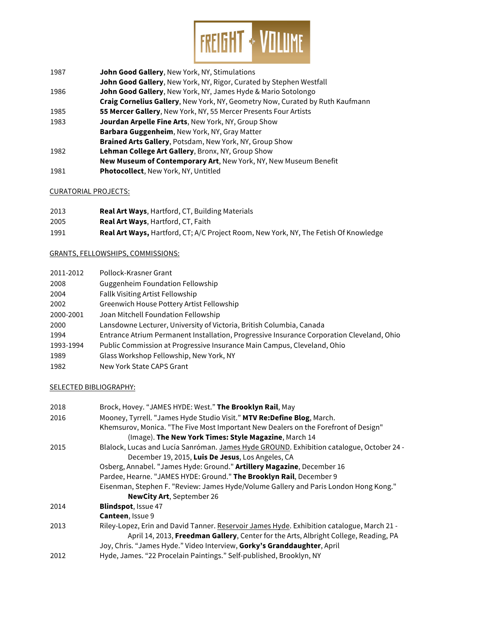

- 1987 **John Good Gallery**, New York, NY, Stimulations
- **John Good Gallery**, New York, NY, Rigor, Curated by Stephen Westfall
- 1986 **John Good Gallery**, New York, NY, James Hyde & Mario Sotolongo
- **Craig Cornelius Gallery**, New York, NY, Geometry Now, Curated by Ruth Kaufmann
- 1985 **55 Mercer Gallery**, New York, NY, 55 Mercer Presents Four Artists
- 1983 **Jourdan Arpelle Fine Arts**, New York, NY, Group Show **Barbara Guggenheim**, New York, NY, Gray Matter
	- **Brained Arts Gallery**, Potsdam, New York, NY, Group Show
- 1982 **Lehman College Art Gallery**, Bronx, NY, Group Show
- **New Museum of Contemporary Art**, New York, NY, New Museum Benefit
- 1981 **Photocollect**, New York, NY, Untitled

### CURATORIAL PROJECTS:

- 2013 **Real Art Ways**, Hartford, CT, Building Materials
- 2005 **Real Art Ways**, Hartford, CT, Faith
- 1991 **Real Art Ways,** Hartford, CT; A/C Project Room, New York, NY, The Fetish Of Knowledge

# GRANTS, FELLOWSHIPS, COMMISSIONS:

| 2011-2012 | Pollock-Krasner Grant                                                                     |
|-----------|-------------------------------------------------------------------------------------------|
| 2008      | <b>Guggenheim Foundation Fellowship</b>                                                   |
| 2004      | Fallk Visiting Artist Fellowship                                                          |
| 2002      | Greenwich House Pottery Artist Fellowship                                                 |
| 2000-2001 | Joan Mitchell Foundation Fellowship                                                       |
| 2000      | Lansdowne Lecturer, University of Victoria, British Columbia, Canada                      |
| 1994      | Entrance Atrium Permanent Installation, Progressive Insurance Corporation Cleveland, Ohio |
| 1993-1994 | Public Commission at Progressive Insurance Main Campus, Cleveland, Ohio                   |
| 1989      | Glass Workshop Fellowship, New York, NY                                                   |
| 1982      | New York State CAPS Grant                                                                 |

### SELECTED BIBLIOGRAPHY:

| 2018 | Brock, Hovey. "JAMES HYDE: West." The Brooklyn Rail, May                                   |
|------|--------------------------------------------------------------------------------------------|
|      |                                                                                            |
| 2016 | Mooney, Tyrrell. "James Hyde Studio Visit." MTV Re:Define Blog, March.                     |
|      | Khemsurov, Monica. "The Five Most Important New Dealers on the Forefront of Design"        |
|      | (Image). The New York Times: Style Magazine, March 14                                      |
| 2015 | Blalock, Lucas and Lucía Sanróman. James Hyde GROUND. Exhibition catalogue, October 24 -   |
|      | December 19, 2015, Luis De Jesus, Los Angeles, CA                                          |
|      | Osberg, Annabel. "James Hyde: Ground." Artillery Magazine, December 16                     |
|      | Pardee, Hearne. "JAMES HYDE: Ground." The Brooklyn Rail, December 9                        |
|      | Eisenman, Stephen F. "Review: James Hyde/Volume Gallery and Paris London Hong Kong."       |
|      | <b>NewCity Art, September 26</b>                                                           |
| 2014 | <b>Blindspot, Issue 47</b>                                                                 |
|      | <b>Canteen, Issue 9</b>                                                                    |
| 2013 | Riley-Lopez, Erin and David Tanner. Reservoir James Hyde. Exhibition catalogue, March 21 - |
|      | April 14, 2013, Freedman Gallery, Center for the Arts, Albright College, Reading, PA       |
|      | Joy, Chris. "James Hyde." Video Interview, Gorky's Granddaughter, April                    |
|      |                                                                                            |
| 2012 | Hyde, James. "22 Procelain Paintings." Self-published, Brooklyn, NY                        |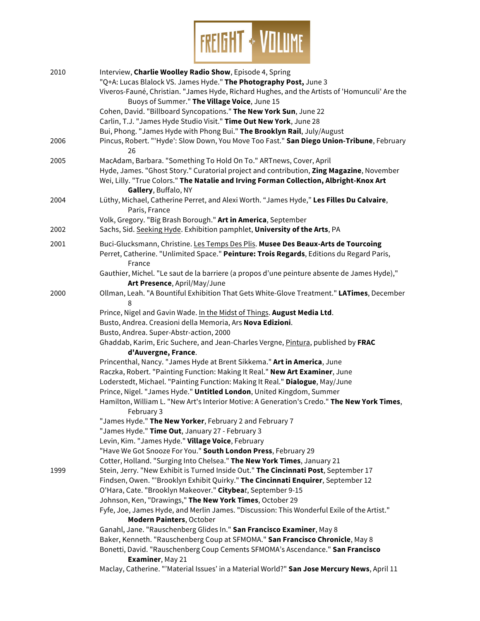

| 2010 | Interview, Charlie Woolley Radio Show, Episode 4, Spring<br>"Q+A: Lucas Blalock VS. James Hyde." The Photography Post, June 3<br>Viveros-Fauné, Christian. "James Hyde, Richard Hughes, and the Artists of 'Homunculi' Are the<br>Buoys of Summer." The Village Voice, June 15 |
|------|--------------------------------------------------------------------------------------------------------------------------------------------------------------------------------------------------------------------------------------------------------------------------------|
|      | Cohen, David. "Billboard Syncopations." The New York Sun, June 22                                                                                                                                                                                                              |
|      | Carlin, T.J. "James Hyde Studio Visit." Time Out New York, June 28                                                                                                                                                                                                             |
|      | Bui, Phong. "James Hyde with Phong Bui." The Brooklyn Rail, July/August                                                                                                                                                                                                        |
| 2006 | Pincus, Robert. "'Hyde': Slow Down, You Move Too Fast." San Diego Union-Tribune, February<br>26                                                                                                                                                                                |
| 2005 | MacAdam, Barbara. "Something To Hold On To." ARTnews, Cover, April                                                                                                                                                                                                             |
|      | Hyde, James. "Ghost Story." Curatorial project and contribution, Zing Magazine, November<br>Wei, Lilly. "True Colors." The Natalie and Irving Forman Collection, Albright-Knox Art<br>Gallery, Buffalo, NY                                                                     |
| 2004 | Lüthy, Michael, Catherine Perret, and Alexi Worth. "James Hyde," Les Filles Du Calvaire,<br>Paris, France                                                                                                                                                                      |
| 2002 | Volk, Gregory. "Big Brash Borough." Art in America, September<br>Sachs, Sid. Seeking Hyde. Exhibition pamphlet, University of the Arts, PA                                                                                                                                     |
| 2001 | Buci-Glucksmann, Christine. Les Temps Des Plis. Musee Des Beaux-Arts de Tourcoing<br>Perret, Catherine. "Unlimited Space." Peinture: Trois Regards, Editions du Regard Paris,<br>France                                                                                        |
|      | Gauthier, Michel. "Le saut de la barriere (a propos d'une peinture absente de James Hyde),"<br>Art Presence, April/May/June                                                                                                                                                    |
| 2000 | Ollman, Leah. "A Bountiful Exhibition That Gets White-Glove Treatment." LATimes, December<br>8                                                                                                                                                                                 |
|      | Prince, Nigel and Gavin Wade. In the Midst of Things. August Media Ltd.                                                                                                                                                                                                        |
|      | Busto, Andrea. Creasioni della Memoria, Ars Nova Edizioni.                                                                                                                                                                                                                     |
|      | Busto, Andrea. Super-Abstr-action, 2000                                                                                                                                                                                                                                        |
|      | Ghaddab, Karim, Eric Suchere, and Jean-Charles Vergne, Pintura, published by FRAC                                                                                                                                                                                              |
|      | d'Auvergne, France.                                                                                                                                                                                                                                                            |
|      | Princenthal, Nancy. "James Hyde at Brent Sikkema." Art in America, June                                                                                                                                                                                                        |
|      | Raczka, Robert. "Painting Function: Making It Real." New Art Examiner, June                                                                                                                                                                                                    |
|      | Loderstedt, Michael. "Painting Function: Making It Real." Dialogue, May/June                                                                                                                                                                                                   |
|      | Prince, Nigel. "James Hyde." Untitled London, United Kingdom, Summer                                                                                                                                                                                                           |
|      | Hamilton, William L. "New Art's Interior Motive: A Generation's Credo." The New York Times,                                                                                                                                                                                    |
|      | February 3<br>"James Hyde." The New Yorker, February 2 and February 7                                                                                                                                                                                                          |
|      | "James Hyde." Time Out, January 27 - February 3                                                                                                                                                                                                                                |
|      | Levin, Kim. "James Hyde." Village Voice, February                                                                                                                                                                                                                              |
|      | "Have We Got Snooze For You." South London Press, February 29                                                                                                                                                                                                                  |
|      | Cotter, Holland. "Surging Into Chelsea." The New York Times, January 21                                                                                                                                                                                                        |
| 1999 | Stein, Jerry. "New Exhibit is Turned Inside Out." The Cincinnati Post, September 17                                                                                                                                                                                            |
|      | Findsen, Owen. "'Brooklyn Exhibit Quirky." The Cincinnati Enquirer, September 12                                                                                                                                                                                               |
|      | O'Hara, Cate. "Brooklyn Makeover." Citybeat, September 9-15                                                                                                                                                                                                                    |
|      | Johnson, Ken, "Drawings," The New York Times, October 29                                                                                                                                                                                                                       |
|      | Fyfe, Joe, James Hyde, and Merlin James. "Discussion: This Wonderful Exile of the Artist."<br>Modern Painters, October                                                                                                                                                         |
|      | Ganahl, Jane. "Rauschenberg Glides In." San Francisco Examiner, May 8                                                                                                                                                                                                          |
|      | Baker, Kenneth. "Rauschenberg Coup at SFMOMA." San Francisco Chronicle, May 8                                                                                                                                                                                                  |
|      | Bonetti, David. "Rauschenberg Coup Cements SFMOMA's Ascendance." San Francisco                                                                                                                                                                                                 |
|      | Examiner, May 21                                                                                                                                                                                                                                                               |
|      | Maclay, Catherine. "'Material Issues' in a Material World?" San Jose Mercury News, April 11                                                                                                                                                                                    |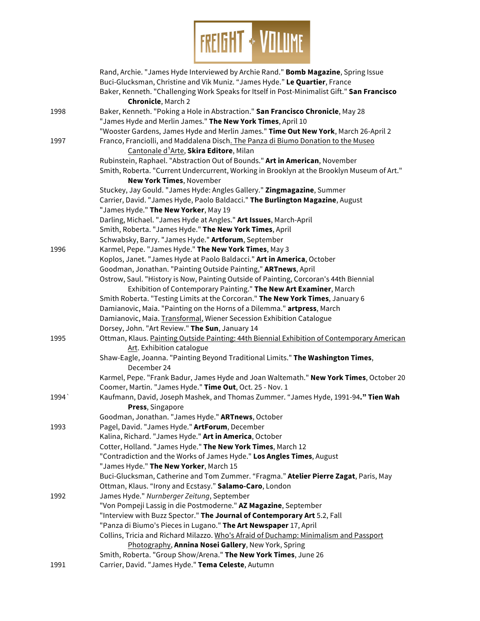

|      | Rand, Archie. "James Hyde Interviewed by Archie Rand." Bomb Magazine, Spring Issue<br>Buci-Glucksman, Christine and Vik Muniz. "James Hyde." Le Quartier, France<br>Baker, Kenneth. "Challenging Work Speaks for Itself in Post-Minimalist Gift." San Francisco |
|------|-----------------------------------------------------------------------------------------------------------------------------------------------------------------------------------------------------------------------------------------------------------------|
|      | <b>Chronicle, March 2</b>                                                                                                                                                                                                                                       |
| 1998 | Baker, Kenneth. "Poking a Hole in Abstraction." San Francisco Chronicle, May 28                                                                                                                                                                                 |
|      | "James Hyde and Merlin James." The New York Times, April 10                                                                                                                                                                                                     |
|      | "Wooster Gardens, James Hyde and Merlin James." Time Out New York, March 26-April 2                                                                                                                                                                             |
| 1997 | Franco, Franciolli, and Maddalena Disch. The Panza di Biumo Donation to the Museo<br>Cantonale d <sup>1</sup> Arte, Skira Editore, Milan                                                                                                                        |
|      | Rubinstein, Raphael. "Abstraction Out of Bounds." Art in American, November                                                                                                                                                                                     |
|      | Smith, Roberta. "Current Undercurrent, Working in Brooklyn at the Brooklyn Museum of Art."                                                                                                                                                                      |
|      | New York Times, November                                                                                                                                                                                                                                        |
|      | Stuckey, Jay Gould. "James Hyde: Angles Gallery." Zingmagazine, Summer                                                                                                                                                                                          |
|      | Carrier, David. "James Hyde, Paolo Baldacci." The Burlington Magazine, August                                                                                                                                                                                   |
|      | "James Hyde." The New Yorker, May 19                                                                                                                                                                                                                            |
|      | Darling, Michael. "James Hyde at Angles." Art Issues, March-April                                                                                                                                                                                               |
|      | Smith, Roberta. "James Hyde." The New York Times, April                                                                                                                                                                                                         |
|      | Schwabsky, Barry. "James Hyde." Artforum, September                                                                                                                                                                                                             |
| 1996 | Karmel, Pepe. "James Hyde." The New York Times, May 3                                                                                                                                                                                                           |
|      | Koplos, Janet. "James Hyde at Paolo Baldacci." Art in America, October                                                                                                                                                                                          |
|      | Goodman, Jonathan. "Painting Outside Painting," ARTnews, April                                                                                                                                                                                                  |
|      | Ostrow, Saul. "History is Now, Painting Outside of Painting, Corcoran's 44th Biennial                                                                                                                                                                           |
|      | Exhibition of Contemporary Painting." The New Art Examiner, March                                                                                                                                                                                               |
|      | Smith Roberta. "Testing Limits at the Corcoran." The New York Times, January 6                                                                                                                                                                                  |
|      | Damianovic, Maia. "Painting on the Horns of a Dilemma." artpress, March                                                                                                                                                                                         |
|      | Damianovic, Maia. Transformal, Wiener Secession Exhibition Catalogue                                                                                                                                                                                            |
|      | Dorsey, John. "Art Review." The Sun, January 14                                                                                                                                                                                                                 |
| 1995 | Ottman, Klaus. Painting Outside Painting: 44th Biennial Exhibition of Contemporary American                                                                                                                                                                     |
|      | Art. Exhibition catalogue                                                                                                                                                                                                                                       |
|      | Shaw-Eagle, Joanna. "Painting Beyond Traditional Limits." The Washington Times,<br>December 24                                                                                                                                                                  |
|      |                                                                                                                                                                                                                                                                 |
|      | Karmel, Pepe. "Frank Badur, James Hyde and Joan Waltemath." New York Times, October 20<br>Coomer, Martin. "James Hyde." Time Out, Oct. 25 - Nov. 1                                                                                                              |
| 1994 | Kaufmann, David, Joseph Mashek, and Thomas Zummer. "James Hyde, 1991-94." Tien Wah                                                                                                                                                                              |
|      | Press, Singapore                                                                                                                                                                                                                                                |
|      | Goodman, Jonathan. "James Hyde." ARTnews, October                                                                                                                                                                                                               |
| 1993 | Pagel, David. "James Hyde." ArtForum, December                                                                                                                                                                                                                  |
|      | Kalina, Richard. "James Hyde." Art in America, October                                                                                                                                                                                                          |
|      | Cotter, Holland. "James Hyde." The New York Times, March 12                                                                                                                                                                                                     |
|      | "Contradiction and the Works of James Hyde." Los Angles Times, August                                                                                                                                                                                           |
|      | "James Hyde." The New Yorker, March 15                                                                                                                                                                                                                          |
|      | Buci-Glucksman, Catherine and Tom Zummer. "Fragma." Atelier Pierre Zagat, Paris, May                                                                                                                                                                            |
|      | Ottman, Klaus. "Irony and Ecstasy." Salamo-Caro, London                                                                                                                                                                                                         |
| 1992 | James Hyde." Nurnberger Zeitung, September                                                                                                                                                                                                                      |
|      | "Von Pompeji Lassig in die Postmoderne." AZ Magazine, September                                                                                                                                                                                                 |
|      | "Interview with Buzz Spector." The Journal of Contemporary Art 5.2, Fall                                                                                                                                                                                        |
|      | "Panza di Biumo's Pieces in Lugano." The Art Newspaper 17, April                                                                                                                                                                                                |
|      | Collins, Tricia and Richard Milazzo. Who's Afraid of Duchamp: Minimalism and Passport                                                                                                                                                                           |
|      | Photography, Annina Nosei Gallery, New York, Spring                                                                                                                                                                                                             |
|      | Smith, Roberta. "Group Show/Arena." The New York Times, June 26                                                                                                                                                                                                 |
| 1991 | Carrier, David. "James Hyde." Tema Celeste, Autumn                                                                                                                                                                                                              |
|      |                                                                                                                                                                                                                                                                 |